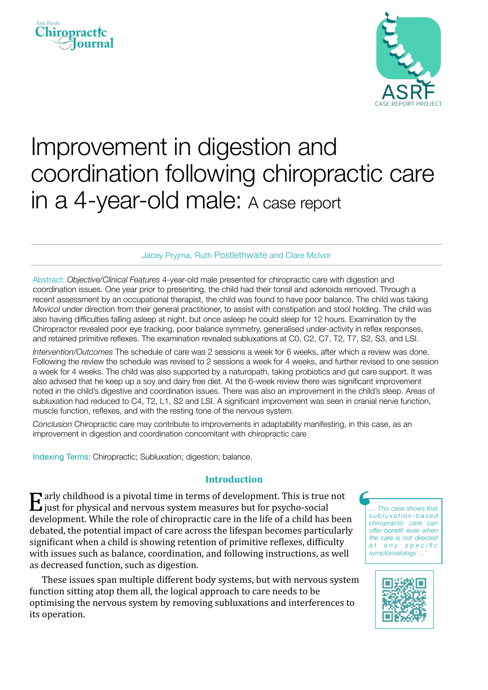



# Improvement in digestion and coordination following chiropractic care in a 4-year-old male: A case report

## Jacey Pryjma, Ruth Postlethwaite and Clare McIvor

Abstract: *Objective/Clinical Features* 4-year-old male presented for chiropractic care with digestion and coordination issues. One year prior to presenting, the child had their tonsil and adenoids removed. Through a recent assessment by an occupational therapist, the child was found to have poor balance. The child was taking *Movicol* under direction from their general practitioner, to assist with constipation and stool holding. The child was also having difficulties falling asleep at night, but once asleep he could sleep for 12 hours. Examination by the Chiropractor revealed poor eye tracking, poor balance symmetry, generalised under-activity in reflex responses, and retained primitive reflexes. The examination revealed subluxations at C0, C2, C7, T2, T7, S2, S3, and LSI.

*Intervention/Outcomes* The schedule of care was 2 sessions a week for 6 weeks, after which a review was done. Following the review the schedule was revised to 2 sessions a week for 4 weeks, and further revised to one session a week for 4 weeks. The child was also supported by a naturopath, taking probiotics and gut care support. It was also advised that he keep up a soy and dairy free diet. At the 6-week review there was significant improvement noted in the child's digestive and coordination issues. There was also an improvement in the child's sleep. Areas of subluxation had reduced to C4, T2, L1, S2 and LSI. A significant improvement was seen in cranial nerve function, muscle function, reflexes, and with the resting tone of the nervous system.

*Conclusion* Chiropractic care may contribute to improvements in adaptability manifesting, in this case, as an improvement in digestion and coordination concomitant with chiropractic care

Indexing Terms: Chiropractic; Subluxation; digestion; balance.

## **Introduction**

 $E$  arly childhood is a pivotal time in terms of development. This is true not just for physical and nervous system measures but for psycho-social development. While the role of chiropractic care in the life of a child has been debated, the potential impact of care across the lifespan becomes particularly significant when a child is showing retention of primitive reflexes, difficulty with issues such as balance, coordination, and following instructions, as well as decreased function, such as digestion.

These issues span multiple different body systems, but with nervous system function sitting atop them all, the logical approach to care needs to be optimising the nervous system by removing subluxations and interferences to its operation.

*… This case shows that s u b l u x a t i o n - b a s e d chiropractic care can offer benefit even when the care is not directed a t a n y s p e c i fi c symptomatology …'*

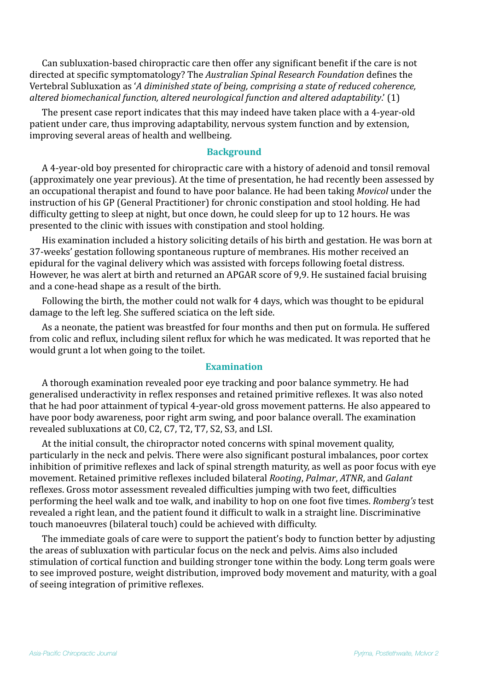Can subluxation-based chiropractic care then offer any significant benefit if the care is not directed at specific symptomatology? The *Australian Spinal Research Foundation* defines the Vertebral Subluxation as 'A diminished state of being, comprising a state of reduced coherence, *altered biomechanical function, altered neurological function and altered adaptability*.' (1) 

The present case report indicates that this may indeed have taken place with a 4-year-old patient under care, thus improving adaptability, nervous system function and by extension, improving several areas of health and wellbeing.

## **Background**

A 4-year-old boy presented for chiropractic care with a history of adenoid and tonsil removal (approximately one year previous). At the time of presentation, he had recently been assessed by an occupational therapist and found to have poor balance. He had been taking *Movicol* under the instruction of his GP (General Practitioner) for chronic constipation and stool holding. He had difficulty getting to sleep at night, but once down, he could sleep for up to 12 hours. He was presented to the clinic with issues with constipation and stool holding.

His examination included a history soliciting details of his birth and gestation. He was born at 37-weeks' gestation following spontaneous rupture of membranes. His mother received an epidural for the vaginal delivery which was assisted with forceps following foetal distress. However, he was alert at birth and returned an APGAR score of 9,9. He sustained facial bruising and a cone-head shape as a result of the birth.

Following the birth, the mother could not walk for 4 days, which was thought to be epidural damage to the left leg. She suffered sciatica on the left side.

As a neonate, the patient was breastfed for four months and then put on formula. He suffered from colic and reflux, including silent reflux for which he was medicated. It was reported that he would grunt a lot when going to the toilet.

## **Examination**

A thorough examination revealed poor eye tracking and poor balance symmetry. He had generalised underactivity in reflex responses and retained primitive reflexes. It was also noted that he had poor attainment of typical 4-year-old gross movement patterns. He also appeared to have poor body awareness, poor right arm swing, and poor balance overall. The examination revealed subluxations at C0, C2, C7, T2, T7, S2, S3, and LSI.

At the initial consult, the chiropractor noted concerns with spinal movement quality, particularly in the neck and pelvis. There were also significant postural imbalances, poor cortex inhibition of primitive reflexes and lack of spinal strength maturity, as well as poor focus with eye movement. Retained primitive reflexes included bilateral *Rooting*, *Palmar*, *ATNR*, and *Galant* reflexes. Gross motor assessment revealed difficulties jumping with two feet, difficulties performing the heel walk and toe walk, and inability to hop on one foot five times. *Romberg's* test revealed a right lean, and the patient found it difficult to walk in a straight line. Discriminative touch manoeuvres (bilateral touch) could be achieved with difficulty.

The immediate goals of care were to support the patient's body to function better by adjusting the areas of subluxation with particular focus on the neck and pelvis. Aims also included stimulation of cortical function and building stronger tone within the body. Long term goals were to see improved posture, weight distribution, improved body movement and maturity, with a goal of seeing integration of primitive reflexes.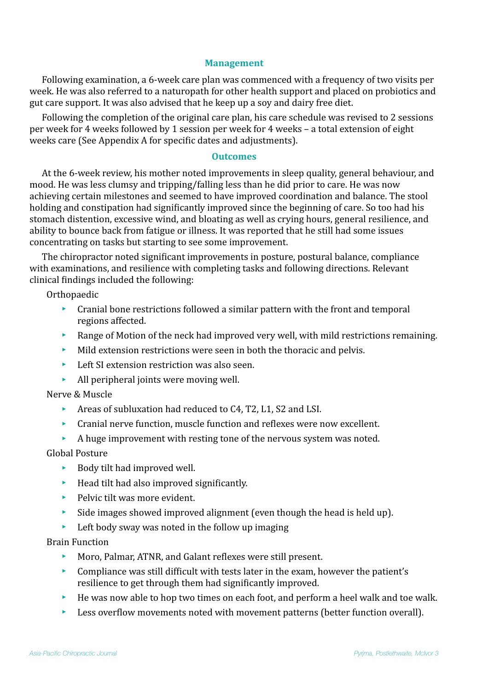## **Management**

Following examination, a 6-week care plan was commenced with a frequency of two visits per week. He was also referred to a naturopath for other health support and placed on probiotics and gut care support. It was also advised that he keep up a soy and dairy free diet.

Following the completion of the original care plan, his care schedule was revised to 2 sessions per week for 4 weeks followed by 1 session per week for 4 weeks – a total extension of eight weeks care (See Appendix A for specific dates and adjustments).

## **Outcomes**

At the 6-week review, his mother noted improvements in sleep quality, general behaviour, and mood. He was less clumsy and tripping/falling less than he did prior to care. He was now achieving certain milestones and seemed to have improved coordination and balance. The stool holding and constipation had significantly improved since the beginning of care. So too had his stomach distention, excessive wind, and bloating as well as crying hours, general resilience, and ability to bounce back from fatigue or illness. It was reported that he still had some issues concentrating on tasks but starting to see some improvement.

The chiropractor noted significant improvements in posture, postural balance, compliance with examinations, and resilience with completing tasks and following directions. Relevant clinical findings included the following:

**Orthopaedic** 

- $\triangleright$  Cranial bone restrictions followed a similar pattern with the front and temporal regions affected.
- Exange of Motion of the neck had improved very well, with mild restrictions remaining.
- $\blacktriangleright$  Mild extension restrictions were seen in both the thoracic and pelvis.
- $\blacktriangleright$  Left SI extension restriction was also seen.
- $\blacktriangleright$  All peripheral joints were moving well.

## Nerve & Muscle

- $\blacktriangleright$  Areas of subluxation had reduced to C4, T2, L1, S2 and LSI.
- $\blacktriangleright$  Cranial nerve function, muscle function and reflexes were now excellent.
- $\blacktriangleright$  A huge improvement with resting tone of the nervous system was noted.

## Global Posture

- $\blacktriangleright$  Body tilt had improved well.
- $\blacktriangleright$  Head tilt had also improved significantly.
- $\blacktriangleright$  Pelvic tilt was more evident.
- $\blacktriangleright$  Side images showed improved alignment (even though the head is held up).
- $\blacktriangleright$  Left body sway was noted in the follow up imaging

### Brain Function

- $\blacktriangleright$  Moro, Palmar, ATNR, and Galant reflexes were still present.
- $\triangleright$  Compliance was still difficult with tests later in the exam, however the patient's resilience to get through them had significantly improved.
- $\blacktriangleright$  He was now able to hop two times on each foot, and perform a heel walk and toe walk.
- $\blacktriangleright$  Less overflow movements noted with movement patterns (better function overall).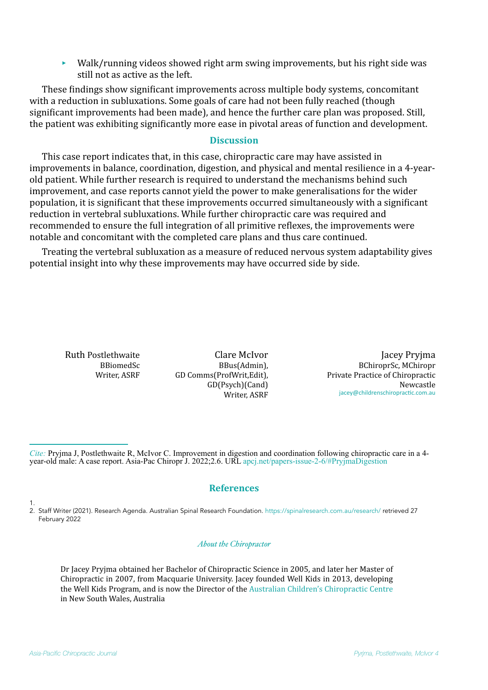$\blacktriangleright$  Walk/running videos showed right arm swing improvements, but his right side was still not as active as the left.

These findings show significant improvements across multiple body systems, concomitant with a reduction in subluxations. Some goals of care had not been fully reached (though significant improvements had been made), and hence the further care plan was proposed. Still, the patient was exhibiting significantly more ease in pivotal areas of function and development.

### **Discussion**

This case report indicates that, in this case, chiropractic care may have assisted in improvements in balance, coordination, digestion, and physical and mental resilience in a 4-yearold patient. While further research is required to understand the mechanisms behind such improvement, and case reports cannot yield the power to make generalisations for the wider population, it is significant that these improvements occurred simultaneously with a significant reduction in vertebral subluxations. While further chiropractic care was required and recommended to ensure the full integration of all primitive reflexes, the improvements were notable and concomitant with the completed care plans and thus care continued.

Treating the vertebral subluxation as a measure of reduced nervous system adaptability gives potential insight into why these improvements may have occurred side by side.

Ruth Postlethwaite BBiomedSc Writer, ASRF

Clare McIvor BBus(Admin), GD Comms(ProfWrit,Edit), GD(Psych)(Cand) Writer, ASRF

Jacey Pryjma BChiroprSc, MChiropr Private Practice of Chiropractic Newcastle [jacey@childrenschiropractic.com.au](mailto:jacey@childrenschiropractic.com.au)

*Cite:* Pryjma J, Postlethwaite R, McIvor C. Improvement in digestion and coordination following chiropractic care in a 4 year-old male: A case report. Asia-Pac Chiropr J. 2022;2.6. URL [apcj.net/papers-issue-2-6/#PryjmaDigestion](http://apcj.net/papers-issue-2-6/#PryjmaDigestion)

## **References**

2. Staff Writer (2021). Research Agenda. Australian Spinal Research Foundation.<https://spinalresearch.com.au/research/> retrieved 27 February 2022

#### *About the Chiropractor*

Dr Jacey Pryjma obtained her Bachelor of Chiropractic Science in 2005, and later her Master of Chiropractic in 2007, from Macquarie University. Jacey founded Well Kids in 2013, developing the Well Kids Program, and is now the Director of the Australian Children's Chiropractic Centre in New South Wales, Australia

1.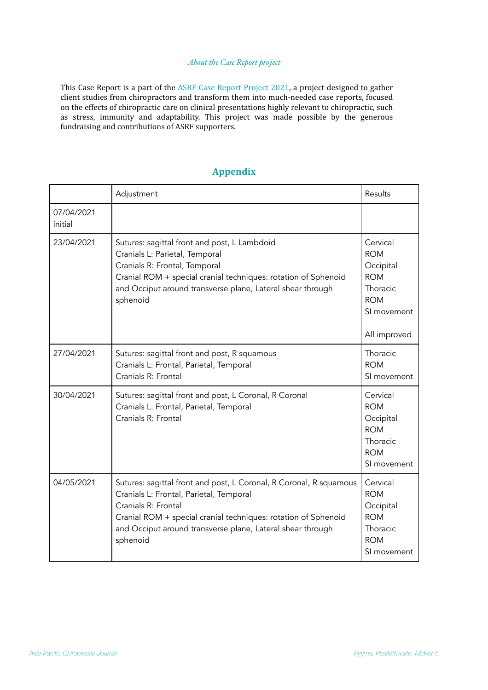#### *About the Case Report project*

This Case Report is a part of the ASRF Case Report Project 2021, a project designed to gather client studies from chiropractors and transform them into much-needed case reports, focused on the effects of chiropractic care on clinical presentations highly relevant to chiropractic, such as stress, immunity and adaptability. This project was made possible by the generous fundraising and contributions of ASRF supporters.

|  | annend |  |
|--|--------|--|
|  |        |  |

|                       | Adjustment                                                                                                                                                                                                                                                                       | <b>Results</b>                                                                                             |
|-----------------------|----------------------------------------------------------------------------------------------------------------------------------------------------------------------------------------------------------------------------------------------------------------------------------|------------------------------------------------------------------------------------------------------------|
| 07/04/2021<br>initial |                                                                                                                                                                                                                                                                                  |                                                                                                            |
| 23/04/2021            | Sutures: sagittal front and post, L Lambdoid<br>Cranials L: Parietal, Temporal<br>Cranials R: Frontal, Temporal<br>Cranial ROM + special cranial techniques: rotation of Sphenoid<br>and Occiput around transverse plane, Lateral shear through<br>sphenoid                      | Cervical<br><b>ROM</b><br>Occipital<br><b>ROM</b><br>Thoracic<br><b>ROM</b><br>SI movement<br>All improved |
| 27/04/2021            | Sutures: sagittal front and post, R squamous<br>Cranials L: Frontal, Parietal, Temporal<br>Cranials R: Frontal                                                                                                                                                                   | Thoracic<br><b>ROM</b><br>SI movement                                                                      |
| 30/04/2021            | Sutures: sagittal front and post, L Coronal, R Coronal<br>Cranials L: Frontal, Parietal, Temporal<br>Cranials R: Frontal                                                                                                                                                         | Cervical<br><b>ROM</b><br>Occipital<br><b>ROM</b><br>Thoracic<br><b>ROM</b><br>SI movement                 |
| 04/05/2021            | Sutures: sagittal front and post, L Coronal, R Coronal, R squamous<br>Cranials L: Frontal, Parietal, Temporal<br>Cranials R: Frontal<br>Cranial ROM + special cranial techniques: rotation of Sphenoid<br>and Occiput around transverse plane, Lateral shear through<br>sphenoid | Cervical<br><b>ROM</b><br>Occipital<br><b>ROM</b><br>Thoracic<br><b>ROM</b><br>SI movement                 |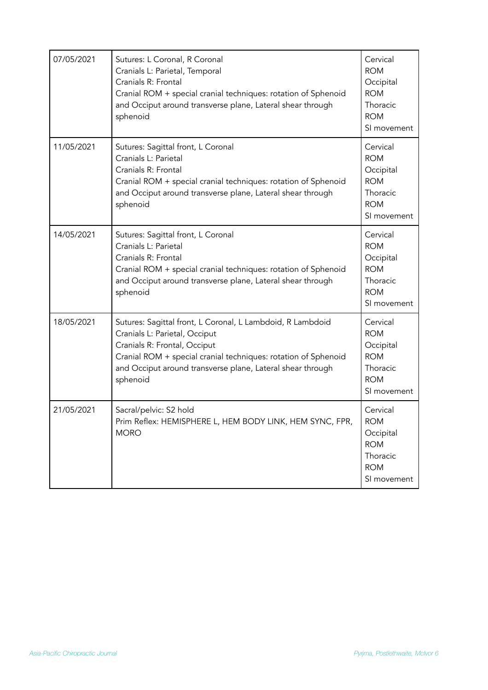| 07/05/2021 | Sutures: L Coronal, R Coronal<br>Cranials L: Parietal, Temporal<br>Cranials R: Frontal<br>Cranial ROM + special cranial techniques: rotation of Sphenoid<br>and Occiput around transverse plane, Lateral shear through<br>sphenoid                                      | Cervical<br><b>ROM</b><br>Occipital<br><b>ROM</b><br>Thoracic<br><b>ROM</b><br>SI movement |
|------------|-------------------------------------------------------------------------------------------------------------------------------------------------------------------------------------------------------------------------------------------------------------------------|--------------------------------------------------------------------------------------------|
| 11/05/2021 | Sutures: Sagittal front, L Coronal<br>Cranials L: Parietal<br>Cranials R: Frontal<br>Cranial ROM + special cranial techniques: rotation of Sphenoid<br>and Occiput around transverse plane, Lateral shear through<br>sphenoid                                           | Cervical<br><b>ROM</b><br>Occipital<br><b>ROM</b><br>Thoracic<br><b>ROM</b><br>SI movement |
| 14/05/2021 | Sutures: Sagittal front, L Coronal<br>Cranials L: Parietal<br>Cranials R: Frontal<br>Cranial ROM + special cranial techniques: rotation of Sphenoid<br>and Occiput around transverse plane, Lateral shear through<br>sphenoid                                           | Cervical<br><b>ROM</b><br>Occipital<br><b>ROM</b><br>Thoracic<br><b>ROM</b><br>SI movement |
| 18/05/2021 | Sutures: Sagittal front, L Coronal, L Lambdoid, R Lambdoid<br>Cranials L: Parietal, Occiput<br>Cranials R: Frontal, Occiput<br>Cranial ROM + special cranial techniques: rotation of Sphenoid<br>and Occiput around transverse plane, Lateral shear through<br>sphenoid | Cervical<br><b>ROM</b><br>Occipital<br><b>ROM</b><br>Thoracic<br><b>ROM</b><br>SI movement |
| 21/05/2021 | Sacral/pelvic: S2 hold<br>Prim Reflex: HEMISPHERE L, HEM BODY LINK, HEM SYNC, FPR,<br><b>MORO</b>                                                                                                                                                                       | Cervical<br><b>ROM</b><br>Occipital<br><b>ROM</b><br>Thoracic<br><b>ROM</b><br>SI movement |